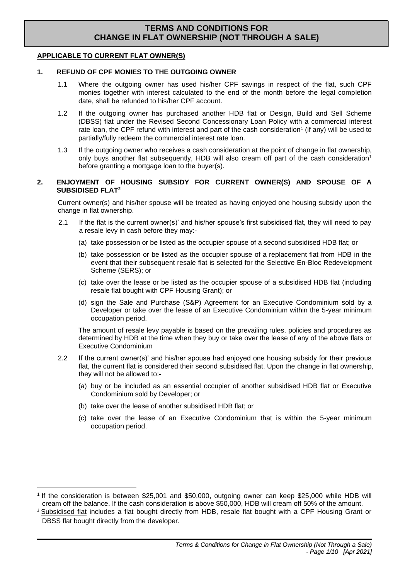### **APPLICABLE TO CURRENT FLAT OWNER(S)**

### **1. REFUND OF CPF MONIES TO THE OUTGOING OWNER**

- 1.1 Where the outgoing owner has used his/her CPF savings in respect of the flat, such CPF monies together with interest calculated to the end of the month before the legal completion date, shall be refunded to his/her CPF account.
- 1.2 If the outgoing owner has purchased another HDB flat or Design, Build and Sell Scheme (DBSS) flat under the Revised Second Concessionary Loan Policy with a commercial interest rate loan, the CPF refund with interest and part of the cash consideration<sup>1</sup> (if any) will be used to partially/fully redeem the commercial interest rate loan.
- 1.3 If the outgoing owner who receives a cash consideration at the point of change in flat ownership, only buys another flat subsequently, HDB will also cream off part of the cash consideration<sup>1</sup> before granting a mortgage loan to the buyer(s).

## **2. ENJOYMENT OF HOUSING SUBSIDY FOR CURRENT OWNER(S) AND SPOUSE OF A SUBSIDISED FLAT<sup>2</sup>**

Current owner(s) and his/her spouse will be treated as having enjoyed one housing subsidy upon the change in flat ownership.

- 2.1 If the flat is the current owner(s)' and his/her spouse's first subsidised flat, they will need to pay a resale levy in cash before they may:-
	- (a) take possession or be listed as the occupier spouse of a second subsidised HDB flat; or
	- (b) take possession or be listed as the occupier spouse of a replacement flat from HDB in the event that their subsequent resale flat is selected for the Selective En-Bloc Redevelopment Scheme (SERS); or
	- (c) take over the lease or be listed as the occupier spouse of a subsidised HDB flat (including resale flat bought with CPF Housing Grant); or
	- (d) sign the Sale and Purchase (S&P) Agreement for an Executive Condominium sold by a Developer or take over the lease of an Executive Condominium within the 5-year minimum occupation period.

The amount of resale levy payable is based on the prevailing rules, policies and procedures as determined by HDB at the time when they buy or take over the lease of any of the above flats or Executive Condominium

- 2.2 If the current owner(s)' and his/her spouse had enjoyed one housing subsidy for their previous flat, the current flat is considered their second subsidised flat. Upon the change in flat ownership, they will not be allowed to:-
	- (a) buy or be included as an essential occupier of another subsidised HDB flat or Executive Condominium sold by Developer; or
	- (b) take over the lease of another subsidised HDB flat; or
	- (c) take over the lease of an Executive Condominium that is within the 5-year minimum occupation period.

<sup>1</sup> If the consideration is between \$25,001 and \$50,000, outgoing owner can keep \$25,000 while HDB will cream off the balance. If the cash consideration is above \$50,000, HDB will cream off 50% of the amount.

<sup>&</sup>lt;sup>2</sup> Subsidised flat includes a flat bought directly from HDB, resale flat bought with a CPF Housing Grant or DBSS flat bought directly from the developer.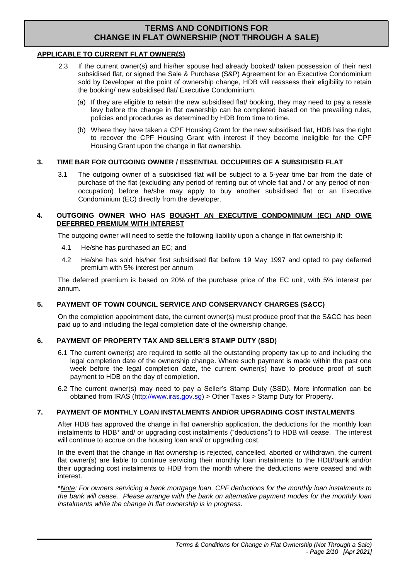## **APPLICABLE TO CURRENT FLAT OWNER(S)**

- 2.3 If the current owner(s) and his/her spouse had already booked/ taken possession of their next subsidised flat, or signed the Sale & Purchase (S&P) Agreement for an Executive Condominium sold by Developer at the point of ownership change, HDB will reassess their eligibility to retain the booking/ new subsidised flat/ Executive Condominium.
	- (a) If they are eligible to retain the new subsidised flat/ booking, they may need to pay a resale levy before the change in flat ownership can be completed based on the prevailing rules, policies and procedures as determined by HDB from time to time.
	- (b) Where they have taken a CPF Housing Grant for the new subsidised flat, HDB has the right to recover the CPF Housing Grant with interest if they become ineligible for the CPF Housing Grant upon the change in flat ownership.

## **3. TIME BAR FOR OUTGOING OWNER / ESSENTIAL OCCUPIERS OF A SUBSIDISED FLAT**

3.1 The outgoing owner of a subsidised flat will be subject to a 5-year time bar from the date of purchase of the flat (excluding any period of renting out of whole flat and / or any period of nonoccupation) before he/she may apply to buy another subsidised flat or an Executive Condominium (EC) directly from the developer.

## **4. OUTGOING OWNER WHO HAS BOUGHT AN EXECUTIVE CONDOMINIUM (EC) AND OWE DEFERRED PREMIUM WITH INTEREST**

The outgoing owner will need to settle the following liability upon a change in flat ownership if:

- 4.1 He/she has purchased an EC; and
- 4.2 He/she has sold his/her first subsidised flat before 19 May 1997 and opted to pay deferred premium with 5% interest per annum

The deferred premium is based on 20% of the purchase price of the EC unit, with 5% interest per annum.

## **5. PAYMENT OF TOWN COUNCIL SERVICE AND CONSERVANCY CHARGES (S&CC)**

On the completion appointment date, the current owner(s) must produce proof that the S&CC has been paid up to and including the legal completion date of the ownership change.

## **6. PAYMENT OF PROPERTY TAX AND SELLER'S STAMP DUTY (SSD)**

- 6.1 The current owner(s) are required to settle all the outstanding property tax up to and including the legal completion date of the ownership change. Where such payment is made within the past one week before the legal completion date, the current owner(s) have to produce proof of such payment to HDB on the day of completion.
- 6.2 The current owner(s) may need to pay a Seller's Stamp Duty (SSD). More information can be obtained from IRAS [\(http://www.iras.gov.sg\)](http://www.iras.gov.sg/) > Other Taxes > Stamp Duty for Property.

## **7. PAYMENT OF MONTHLY LOAN INSTALMENTS AND/OR UPGRADING COST INSTALMENTS**

After HDB has approved the change in flat ownership application, the deductions for the monthly loan instalments to HDB\* and/ or upgrading cost instalments ("deductions") to HDB will cease. The interest will continue to accrue on the housing loan and/ or upgrading cost.

In the event that the change in flat ownership is rejected, cancelled, aborted or withdrawn, the current flat owner(s) are liable to continue servicing their monthly loan instalments to the HDB/bank and/or their upgrading cost instalments to HDB from the month where the deductions were ceased and with interest.

\**Note: For owners servicing a bank mortgage loan, CPF deductions for the monthly loan instalments to the bank will cease. Please arrange with the bank on alternative payment modes for the monthly loan instalments while the change in flat ownership is in progress.*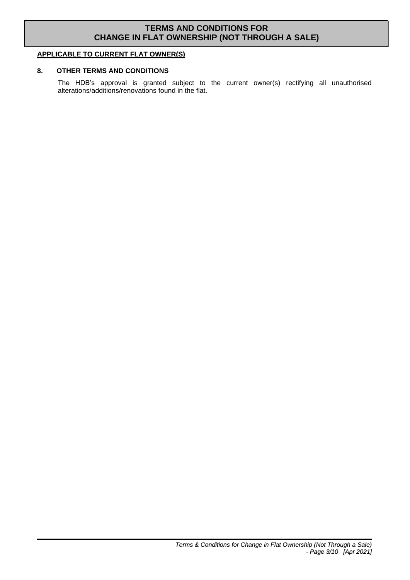## **APPLICABLE TO CURRENT FLAT OWNER(S)**

## **8. OTHER TERMS AND CONDITIONS**

The HDB's approval is granted subject to the current owner(s) rectifying all unauthorised alterations/additions/renovations found in the flat.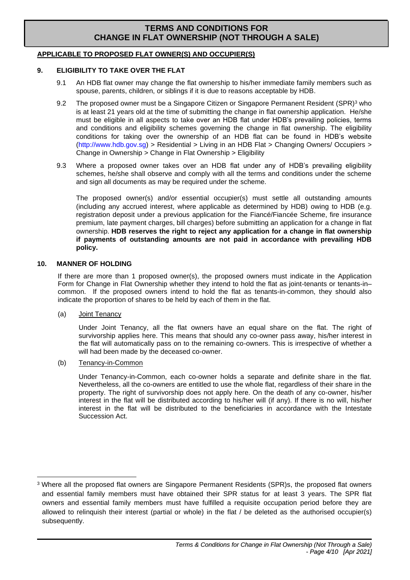## **APPLICABLE TO PROPOSED FLAT OWNER(S) AND OCCUPIER(S)**

### **9. ELIGIBILITY TO TAKE OVER THE FLAT**

- 9.1 An HDB flat owner may change the flat ownership to his/her immediate family members such as spouse, parents, children, or siblings if it is due to reasons acceptable by HDB.
- 9.2 The proposed owner must be a Singapore Citizen or Singapore Permanent Resident (SPR)<sup>3</sup> who is at least 21 years old at the time of submitting the change in flat ownership application. He/she must be eligible in all aspects to take over an HDB flat under HDB's prevailing policies, terms and conditions and eligibility schemes governing the change in flat ownership. The eligibility conditions for taking over the ownership of an HDB flat can be found in HDB's website [\(http://www.hdb.gov.sg\)](http://www.hdb.gov.sg/) > Residential > Living in an HDB Flat > Changing Owners/ Occupiers > Change in Ownership > Change in Flat Ownership > Eligibility
- 9.3 Where a proposed owner takes over an HDB flat under any of HDB's prevailing eligibility schemes, he/she shall observe and comply with all the terms and conditions under the scheme and sign all documents as may be required under the scheme.

The proposed owner(s) and/or essential occupier(s) must settle all outstanding amounts (including any accrued interest, where applicable as determined by HDB) owing to HDB (e.g. registration deposit under a previous application for the Fiancé/Fiancée Scheme, fire insurance premium, late payment charges, bill charges) before submitting an application for a change in flat ownership. **HDB reserves the right to reject any application for a change in flat ownership if payments of outstanding amounts are not paid in accordance with prevailing HDB policy.** 

#### **10. MANNER OF HOLDING**

If there are more than 1 proposed owner(s), the proposed owners must indicate in the Application Form for Change in Flat Ownership whether they intend to hold the flat as joint-tenants or tenants-in– common. If the proposed owners intend to hold the flat as tenants-in-common, they should also indicate the proportion of shares to be held by each of them in the flat.

(a) Joint Tenancy

Under Joint Tenancy, all the flat owners have an equal share on the flat. The right of survivorship applies here. This means that should any co-owner pass away, his/her interest in the flat will automatically pass on to the remaining co-owners. This is irrespective of whether a will had been made by the deceased co-owner.

(b) Tenancy-in-Common

Under Tenancy-in-Common, each co-owner holds a separate and definite share in the flat. Nevertheless, all the co-owners are entitled to use the whole flat, regardless of their share in the property. The right of survivorship does not apply here. On the death of any co-owner, his/her interest in the flat will be distributed according to his/her will (if any). If there is no will, his/her interest in the flat will be distributed to the beneficiaries in accordance with the Intestate Succession Act.

<sup>3</sup> Where all the proposed flat owners are Singapore Permanent Residents (SPR)s, the proposed flat owners and essential family members must have obtained their SPR status for at least 3 years. The SPR flat owners and essential family members must have fulfilled a requisite occupation period before they are allowed to relinquish their interest (partial or whole) in the flat / be deleted as the authorised occupier(s) subsequently.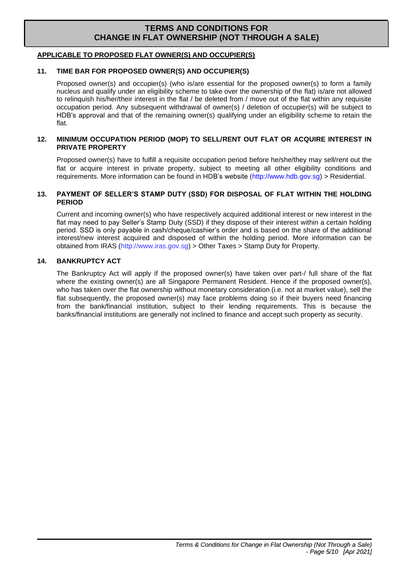## **APPLICABLE TO PROPOSED FLAT OWNER(S) AND OCCUPIER(S)**

## **11. TIME BAR FOR PROPOSED OWNER(S) AND OCCUPIER(S)**

Proposed owner(s) and occupier(s) (who is/are essential for the proposed owner(s) to form a family nucleus and qualify under an eligibility scheme to take over the ownership of the flat) is/are not allowed to relinquish his/her/their interest in the flat / be deleted from / move out of the flat within any requisite occupation period. Any subsequent withdrawal of owner(s) / deletion of occupier(s) will be subject to HDB's approval and that of the remaining owner(s) qualifying under an eligibility scheme to retain the flat.

## **12. MINIMUM OCCUPATION PERIOD (MOP) TO SELL/RENT OUT FLAT OR ACQUIRE INTEREST IN PRIVATE PROPERTY**

Proposed owner(s) have to fulfill a requisite occupation period before he/she/they may sell/rent out the flat or acquire interest in private property, subject to meeting all other eligibility conditions and requirements. More information can be found in HDB's website [\(http://www.hdb.gov.sg\)](http://www.hdb.gov.sg/) > Residential.

## **13. PAYMENT OF SELLER'S STAMP DUTY (SSD) FOR DISPOSAL OF FLAT WITHIN THE HOLDING PERIOD**

Current and incoming owner(s) who have respectively acquired additional interest or new interest in the flat may need to pay Seller's Stamp Duty (SSD) if they dispose of their interest within a certain holding period. SSD is only payable in cash/cheque/cashier's order and is based on the share of the additional interest/new interest acquired and disposed of within the holding period. More information can be obtained from IRAS [\(http://www.iras.gov.sg\)](http://www.iras.gov.sg/) > Other Taxes > Stamp Duty for Property.

## **14. BANKRUPTCY ACT**

The Bankruptcy Act will apply if the proposed owner(s) have taken over part-/ full share of the flat where the existing owner(s) are all Singapore Permanent Resident. Hence if the proposed owner(s), who has taken over the flat ownership without monetary consideration (i.e. not at market value), sell the flat subsequently, the proposed owner(s) may face problems doing so if their buyers need financing from the bank/financial institution, subject to their lending requirements. This is because the banks/financial institutions are generally not inclined to finance and accept such property as security.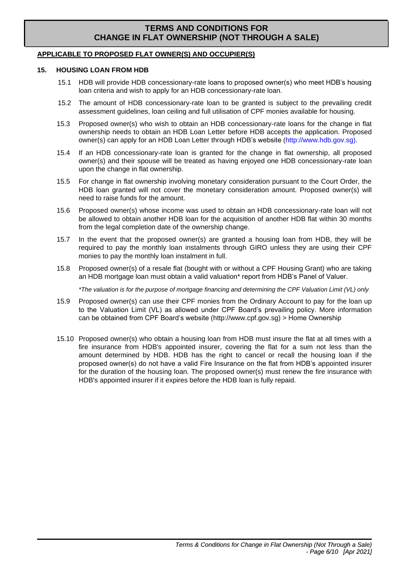## **APPLICABLE TO PROPOSED FLAT OWNER(S) AND OCCUPIER(S)**

#### **15. HOUSING LOAN FROM HDB**

- 15.1 HDB will provide HDB concessionary-rate loans to proposed owner(s) who meet HDB's housing loan criteria and wish to apply for an HDB concessionary-rate loan.
- 15.2 The amount of HDB concessionary-rate loan to be granted is subject to the prevailing credit assessment guidelines, loan ceiling and full utilisation of CPF monies available for housing.
- 15.3 Proposed owner(s) who wish to obtain an HDB concessionary-rate loans for the change in flat ownership needs to obtain an HDB Loan Letter before HDB accepts the application. Proposed owner(s) can apply for an HDB Loan Letter through HDB's website [\(http://www.hdb.gov.sg\).](http://www.hdb.gov.sg)/)
- 15.4 If an HDB concessionary-rate loan is granted for the change in flat ownership, all proposed owner(s) and their spouse will be treated as having enjoyed one HDB concessionary-rate loan upon the change in flat ownership.
- 15.5 For change in flat ownership involving monetary consideration pursuant to the Court Order, the HDB loan granted will not cover the monetary consideration amount. Proposed owner(s) will need to raise funds for the amount.
- 15.6 Proposed owner(s) whose income was used to obtain an HDB concessionary-rate loan will not be allowed to obtain another HDB loan for the acquisition of another HDB flat within 30 months from the legal completion date of the ownership change.
- 15.7 In the event that the proposed owner(s) are granted a housing loan from HDB, they will be required to pay the monthly loan instalments through GIRO unless they are using their CPF monies to pay the monthly loan instalment in full.
- 15.8 Proposed owner(s) of a resale flat (bought with or without a CPF Housing Grant) who are taking an HDB mortgage loan must obtain a valid valuation\* report from HDB's Panel of Valuer.

*\*The valuation is for the purpose of mortgage financing and determining the CPF Valuation Limit (VL) only.*

- 15.9 Proposed owner(s) can use their CPF monies from the Ordinary Account to pay for the loan up to the Valuation Limit (VL) as allowed under CPF Board's prevailing policy. More information can be obtained from CPF Board's website [\(http://www.cpf.gov.sg\)](http://www.cpf.gov.sg/) > Home Ownership
- 15.10 Proposed owner(s) who obtain a housing loan from HDB must insure the flat at all times with a fire insurance from HDB's appointed insurer, covering the flat for a sum not less than the amount determined by HDB. HDB has the right to cancel or recall the housing loan if the proposed owner(s) do not have a valid Fire Insurance on the flat from HDB's appointed insurer for the duration of the housing loan. The proposed owner(s) must renew the fire insurance with HDB's appointed insurer if it expires before the HDB loan is fully repaid.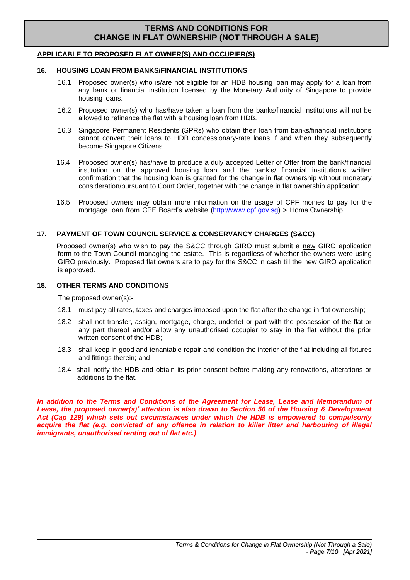## **APPLICABLE TO PROPOSED FLAT OWNER(S) AND OCCUPIER(S)**

#### **16. HOUSING LOAN FROM BANKS/FINANCIAL INSTITUTIONS**

- 16.1 Proposed owner(s) who is/are not eligible for an HDB housing loan may apply for a loan from any bank or financial institution licensed by the Monetary Authority of Singapore to provide housing loans.
- 16.2 Proposed owner(s) who has/have taken a loan from the banks/financial institutions will not be allowed to refinance the flat with a housing loan from HDB.
- 16.3 Singapore Permanent Residents (SPRs) who obtain their loan from banks/financial institutions cannot convert their loans to HDB concessionary-rate loans if and when they subsequently become Singapore Citizens.
- 16.4 Proposed owner(s) has/have to produce a duly accepted Letter of Offer from the bank/financial institution on the approved housing loan and the bank's/ financial institution's written confirmation that the housing loan is granted for the change in flat ownership without monetary consideration/pursuant to Court Order, together with the change in flat ownership application.
- 16.5 Proposed owners may obtain more information on the usage of CPF monies to pay for the mortgage loan from CPF Board's website [\(http://www.cpf.gov.sg\)](http://www.cpf.gov.sg/) > Home Ownership

#### **17. PAYMENT OF TOWN COUNCIL SERVICE & CONSERVANCY CHARGES (S&CC)**

Proposed owner(s) who wish to pay the S&CC through GIRO must submit a new GIRO application form to the Town Council managing the estate. This is regardless of whether the owners were using GIRO previously. Proposed flat owners are to pay for the S&CC in cash till the new GIRO application is approved.

#### **18. OTHER TERMS AND CONDITIONS**

The proposed owner(s):-

- 18.1 must pay all rates, taxes and charges imposed upon the flat after the change in flat ownership;
- 18.2 shall not transfer, assign, mortgage, charge, underlet or part with the possession of the flat or any part thereof and/or allow any unauthorised occupier to stay in the flat without the prior written consent of the HDB;
- 18.3 shall keep in good and tenantable repair and condition the interior of the flat including all fixtures and fittings therein; and
- 18.4 shall notify the HDB and obtain its prior consent before making any renovations, alterations or additions to the flat.

In addition to the Terms and Conditions of the Agreement for Lease, Lease and Memorandum of *Lease, the proposed owner(s)' attention is also drawn to Section 56 of the Housing & Development Act (Cap 129) which sets out circumstances under which the HDB is empowered to compulsorily*  acquire the flat (e.g. convicted of any offence in relation to killer litter and harbouring of illegal *immigrants, unauthorised renting out of flat etc.)*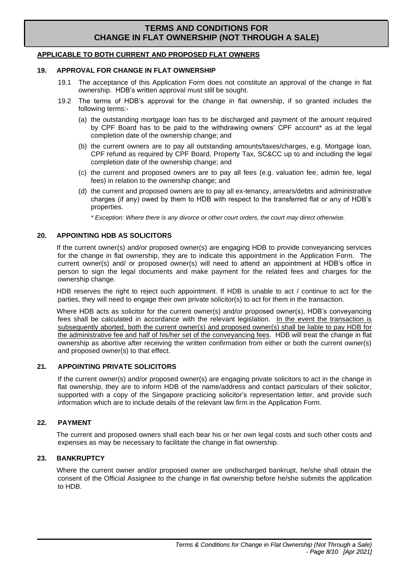## **APPLICABLE TO BOTH CURRENT AND PROPOSED FLAT OWNERS**

#### **19. APPROVAL FOR CHANGE IN FLAT OWNERSHIP**

- 19.1 The acceptance of this Application Form does not constitute an approval of the change in flat ownership. HDB's written approval must still be sought.
- 19.2 The terms of HDB's approval for the change in flat ownership, if so granted includes the following terms:-
	- (a) the outstanding mortgage loan has to be discharged and payment of the amount required by CPF Board has to be paid to the withdrawing owners' CPF account\* as at the legal completion date of the ownership change; and
	- (b) the current owners are to pay all outstanding amounts/taxes/charges, e.g. Mortgage loan, CPF refund as required by CPF Board, Property Tax, SC&CC up to and including the legal completion date of the ownership change; and
	- (c) the current and proposed owners are to pay all fees (e.g. valuation fee, admin fee, legal fees) in relation to the ownership change; and
	- (d) the current and proposed owners are to pay all ex-tenancy, arrears/debts and administrative charges (if any) owed by them to HDB with respect to the transferred flat or any of HDB's properties.

*\* Exception: Where there is any divorce or other court orders, the court may direct otherwise.*

#### **20. APPOINTING HDB AS SOLICITORS**

If the current owner(s) and/or proposed owner(s) are engaging HDB to provide conveyancing services for the change in flat ownership, they are to indicate this appointment in the Application Form. The current owner(s) and/ or proposed owner(s) will need to attend an appointment at HDB's office in person to sign the legal documents and make payment for the related fees and charges for the ownership change.

HDB reserves the right to reject such appointment. If HDB is unable to act / continue to act for the parties, they will need to engage their own private solicitor(s) to act for them in the transaction.

Where HDB acts as solicitor for the current owner(s) and/or proposed owner(s), HDB's conveyancing fees shall be calculated in accordance with the relevant legislation. In the event the transaction is subsequently aborted, both the current owner(s) and proposed owner(s) shall be liable to pay HDB for the administrative fee and half of his/her set of the conveyancing fees. HDB will treat the change in flat ownership as abortive after receiving the written confirmation from either or both the current owner(s) and proposed owner(s) to that effect.

## **21. APPOINTING PRIVATE SOLICITORS**

If the current owner(s) and/or proposed owner(s) are engaging private solicitors to act in the change in flat ownership, they are to inform HDB of the name/address and contact particulars of their solicitor, supported with a copy of the Singapore practicing solicitor's representation letter, and provide such information which are to include details of the relevant law firm in the Application Form.

## **22. PAYMENT**

The current and proposed owners shall each bear his or her own legal costs and such other costs and expenses as may be necessary to facilitate the change in flat ownership.

## **23. BANKRUPTCY**

Where the current owner and/or proposed owner are undischarged bankrupt, he/she shall obtain the consent of the Official Assignee to the change in flat ownership before he/she submits the application to HDB.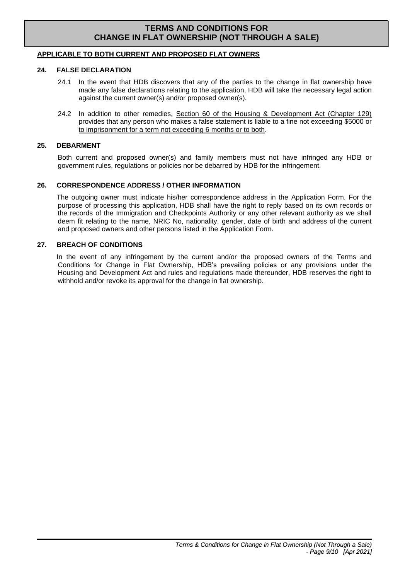## **APPLICABLE TO BOTH CURRENT AND PROPOSED FLAT OWNERS**

#### **24. FALSE DECLARATION**

- 24.1 In the event that HDB discovers that any of the parties to the change in flat ownership have made any false declarations relating to the application, HDB will take the necessary legal action against the current owner(s) and/or proposed owner(s).
- 24.2 In addition to other remedies, Section 60 of the Housing & Development Act (Chapter 129) provides that any person who makes a false statement is liable to a fine not exceeding \$5000 or to imprisonment for a term not exceeding 6 months or to both.

#### **25. DEBARMENT**

Both current and proposed owner(s) and family members must not have infringed any HDB or government rules, regulations or policies nor be debarred by HDB for the infringement.

### **26. CORRESPONDENCE ADDRESS / OTHER INFORMATION**

The outgoing owner must indicate his/her correspondence address in the Application Form. For the purpose of processing this application, HDB shall have the right to reply based on its own records or the records of the Immigration and Checkpoints Authority or any other relevant authority as we shall deem fit relating to the name, NRIC No, nationality, gender, date of birth and address of the current and proposed owners and other persons listed in the Application Form.

#### **27. BREACH OF CONDITIONS**

In the event of any infringement by the current and/or the proposed owners of the Terms and Conditions for Change in Flat Ownership, HDB's prevailing policies or any provisions under the Housing and Development Act and rules and regulations made thereunder, HDB reserves the right to withhold and/or revoke its approval for the change in flat ownership.